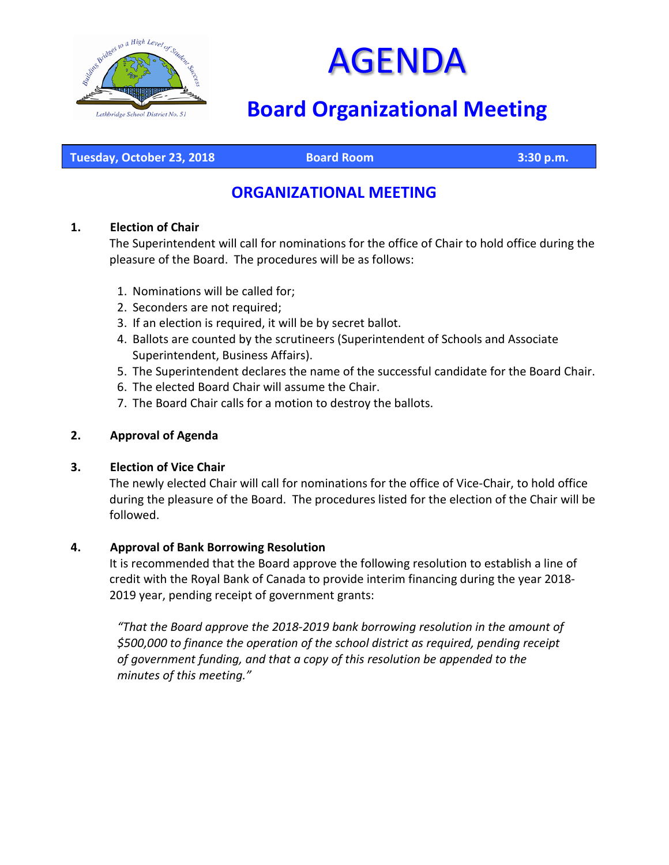



# **Board Organizational Meeting**

**Tuesday, October 23, 2018 Board Room 3:30 p.m.**

# **ORGANIZATIONAL MEETING**

#### **1. Election of Chair**

The Superintendent will call for nominations for the office of Chair to hold office during the pleasure of the Board. The procedures will be as follows:

- 1. Nominations will be called for;
- 2. Seconders are not required;
- 3. If an election is required, it will be by secret ballot.
- 4. Ballots are counted by the scrutineers (Superintendent of Schools and Associate Superintendent, Business Affairs).
- 5. The Superintendent declares the name of the successful candidate for the Board Chair.
- 6. The elected Board Chair will assume the Chair.
- 7. The Board Chair calls for a motion to destroy the ballots.

#### **2. Approval of Agenda**

#### **3. Election of Vice Chair**

The newly elected Chair will call for nominations for the office of Vice-Chair, to hold office during the pleasure of the Board. The procedures listed for the election of the Chair will be followed.

#### **4. Approval of Bank Borrowing Resolution**

It is recommended that the Board approve the following resolution to establish a line of credit with the Royal Bank of Canada to provide interim financing during the year 2018- 2019 year, pending receipt of government grants:

*"That the Board approve the 2018-2019 bank borrowing resolution in the amount of \$500,000 to finance the operation of the school district as required, pending receipt of government funding, and that a copy of this resolution be appended to the minutes of this meeting."*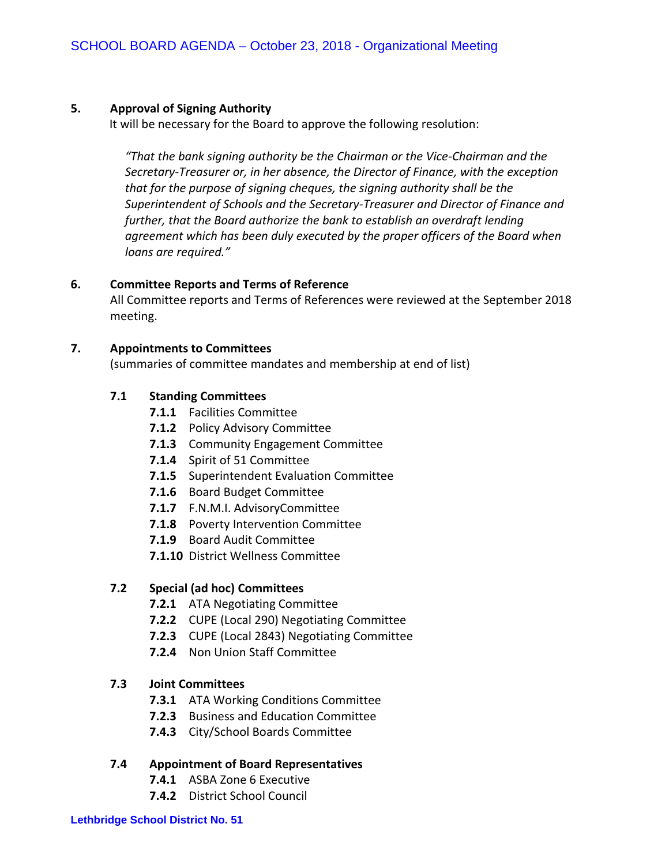#### **5. Approval of Signing Authority**

It will be necessary for the Board to approve the following resolution:

*"That the bank signing authority be the Chairman or the Vice-Chairman and the Secretary-Treasurer or, in her absence, the Director of Finance, with the exception that for the purpose of signing cheques, the signing authority shall be the Superintendent of Schools and the Secretary-Treasurer and Director of Finance and further, that the Board authorize the bank to establish an overdraft lending agreement which has been duly executed by the proper officers of the Board when loans are required."*

#### **6. Committee Reports and Terms of Reference**

All Committee reports and Terms of References were reviewed at the September 2018 meeting.

#### **7. Appointments to Committees**

(summaries of committee mandates and membership at end of list)

#### **7.1 Standing Committees**

- **7.1.1** Facilities Committee
- **7.1.2** Policy Advisory Committee
- **7.1.3** Community Engagement Committee
- **7.1.4** Spirit of 51 Committee
- **7.1.5** Superintendent Evaluation Committee
- **7.1.6** Board Budget Committee
- **7.1.7** F.N.M.I. AdvisoryCommittee
- **7.1.8** Poverty Intervention Committee
- **7.1.9** Board Audit Committee
- **7.1.10** District Wellness Committee

#### **7.2 Special (ad hoc) Committees**

- **7.2.1** ATA Negotiating Committee
- **7.2.2** CUPE (Local 290) Negotiating Committee
- **7.2.3** CUPE (Local 2843) Negotiating Committee
- **7.2.4** Non Union Staff Committee

#### **7.3 Joint Committees**

- **7.3.1** ATA Working Conditions Committee
- **7.2.3** Business and Education Committee
- **7.4.3** City/School Boards Committee

#### **7.4 Appointment of Board Representatives**

- **7.4.1** ASBA Zone 6 Executive
- **7.4.2** District School Council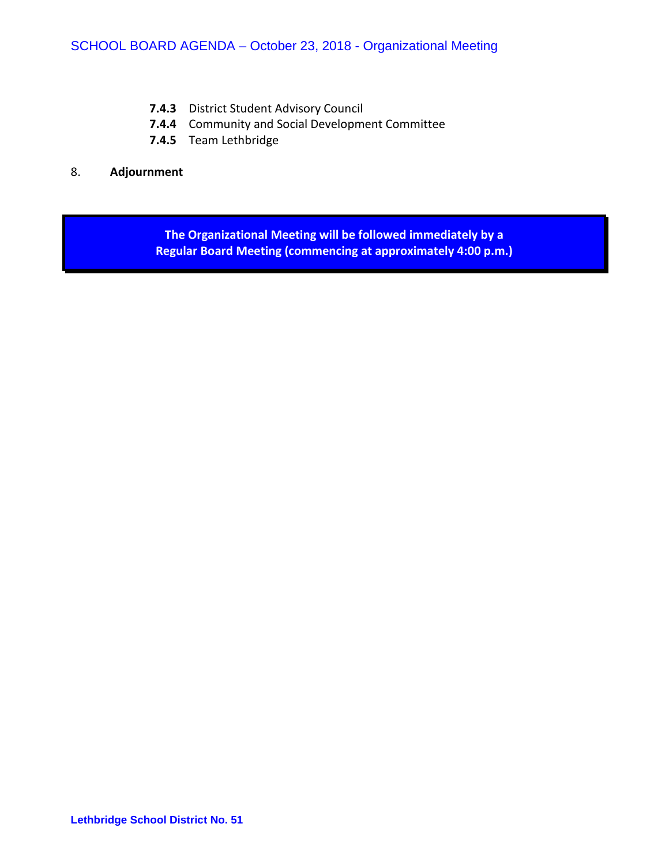- **7.4.3** District Student Advisory Council
- **7.4.4** Community and Social Development Committee
- **7.4.5** Team Lethbridge

#### 8. **Adjournment**

**The Organizational Meeting will be followed immediately by a Regular Board Meeting (commencing at approximately 4:00 p.m.)**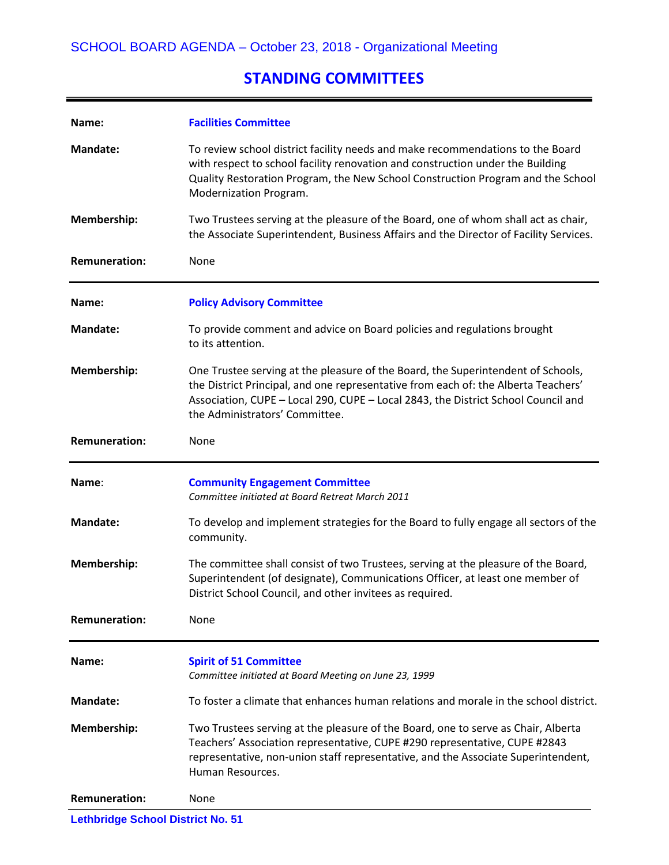## **STANDING COMMITTEES**

| Name:                | <b>Facilities Committee</b>                                                                                                                                                                                                                                                                   |
|----------------------|-----------------------------------------------------------------------------------------------------------------------------------------------------------------------------------------------------------------------------------------------------------------------------------------------|
| <b>Mandate:</b>      | To review school district facility needs and make recommendations to the Board<br>with respect to school facility renovation and construction under the Building<br>Quality Restoration Program, the New School Construction Program and the School<br>Modernization Program.                 |
| Membership:          | Two Trustees serving at the pleasure of the Board, one of whom shall act as chair,<br>the Associate Superintendent, Business Affairs and the Director of Facility Services.                                                                                                                   |
| <b>Remuneration:</b> | None                                                                                                                                                                                                                                                                                          |
| Name:                | <b>Policy Advisory Committee</b>                                                                                                                                                                                                                                                              |
| <b>Mandate:</b>      | To provide comment and advice on Board policies and regulations brought<br>to its attention.                                                                                                                                                                                                  |
| Membership:          | One Trustee serving at the pleasure of the Board, the Superintendent of Schools,<br>the District Principal, and one representative from each of: the Alberta Teachers'<br>Association, CUPE - Local 290, CUPE - Local 2843, the District School Council and<br>the Administrators' Committee. |
| <b>Remuneration:</b> | None                                                                                                                                                                                                                                                                                          |
| Name:                | <b>Community Engagement Committee</b><br>Committee initiated at Board Retreat March 2011                                                                                                                                                                                                      |
| <b>Mandate:</b>      | To develop and implement strategies for the Board to fully engage all sectors of the<br>community.                                                                                                                                                                                            |
|                      |                                                                                                                                                                                                                                                                                               |
| Membership:          | The committee shall consist of two Trustees, serving at the pleasure of the Board,<br>Superintendent (of designate), Communications Officer, at least one member of<br>District School Council, and other invitees as required.                                                               |
| <b>Remuneration:</b> | None                                                                                                                                                                                                                                                                                          |
| Name:                | <b>Spirit of 51 Committee</b><br>Committee initiated at Board Meeting on June 23, 1999                                                                                                                                                                                                        |
| Mandate:             | To foster a climate that enhances human relations and morale in the school district.                                                                                                                                                                                                          |
| <b>Membership:</b>   | Two Trustees serving at the pleasure of the Board, one to serve as Chair, Alberta<br>Teachers' Association representative, CUPE #290 representative, CUPE #2843<br>representative, non-union staff representative, and the Associate Superintendent,<br>Human Resources.                      |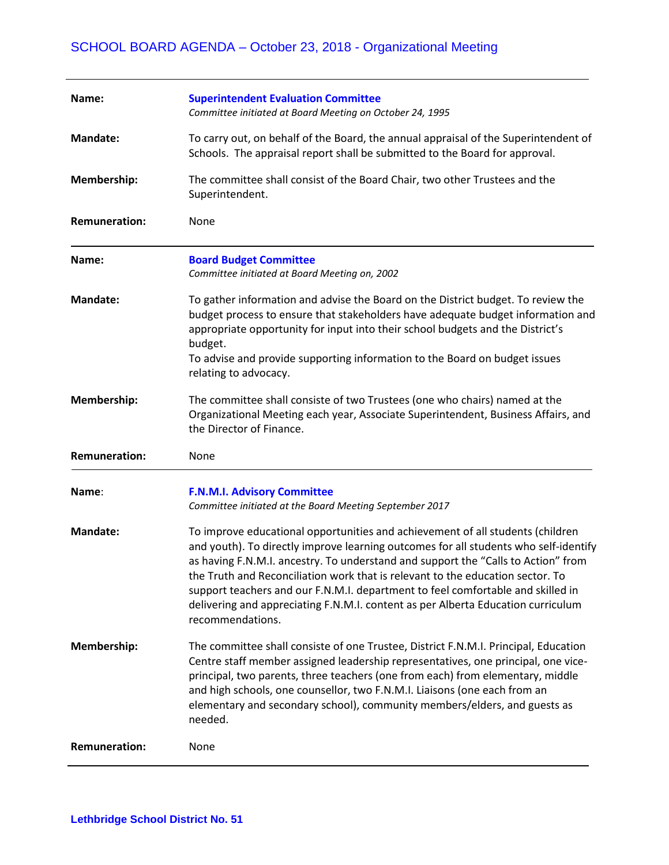| Name:                | <b>Superintendent Evaluation Committee</b><br>Committee initiated at Board Meeting on October 24, 1995                                                                                                                                                                                                                                                                                                                                                                                                                                   |
|----------------------|------------------------------------------------------------------------------------------------------------------------------------------------------------------------------------------------------------------------------------------------------------------------------------------------------------------------------------------------------------------------------------------------------------------------------------------------------------------------------------------------------------------------------------------|
| <b>Mandate:</b>      | To carry out, on behalf of the Board, the annual appraisal of the Superintendent of<br>Schools. The appraisal report shall be submitted to the Board for approval.                                                                                                                                                                                                                                                                                                                                                                       |
| Membership:          | The committee shall consist of the Board Chair, two other Trustees and the<br>Superintendent.                                                                                                                                                                                                                                                                                                                                                                                                                                            |
| <b>Remuneration:</b> | None                                                                                                                                                                                                                                                                                                                                                                                                                                                                                                                                     |
| Name:                | <b>Board Budget Committee</b><br>Committee initiated at Board Meeting on, 2002                                                                                                                                                                                                                                                                                                                                                                                                                                                           |
| <b>Mandate:</b>      | To gather information and advise the Board on the District budget. To review the<br>budget process to ensure that stakeholders have adequate budget information and<br>appropriate opportunity for input into their school budgets and the District's<br>budget.<br>To advise and provide supporting information to the Board on budget issues<br>relating to advocacy.                                                                                                                                                                  |
| <b>Membership:</b>   | The committee shall consiste of two Trustees (one who chairs) named at the<br>Organizational Meeting each year, Associate Superintendent, Business Affairs, and<br>the Director of Finance.                                                                                                                                                                                                                                                                                                                                              |
| <b>Remuneration:</b> | None                                                                                                                                                                                                                                                                                                                                                                                                                                                                                                                                     |
| Name:                | <b>F.N.M.I. Advisory Committee</b><br>Committee initiated at the Board Meeting September 2017                                                                                                                                                                                                                                                                                                                                                                                                                                            |
| <b>Mandate:</b>      | To improve educational opportunities and achievement of all students (children<br>and youth). To directly improve learning outcomes for all students who self-identify<br>as having F.N.M.I. ancestry. To understand and support the "Calls to Action" from<br>the Truth and Reconciliation work that is relevant to the education sector. To<br>support teachers and our F.N.M.I. department to feel comfortable and skilled in<br>delivering and appreciating F.N.M.I. content as per Alberta Education curriculum<br>recommendations. |
| Membership:          | The committee shall consiste of one Trustee, District F.N.M.I. Principal, Education<br>Centre staff member assigned leadership representatives, one principal, one vice-<br>principal, two parents, three teachers (one from each) from elementary, middle<br>and high schools, one counsellor, two F.N.M.I. Liaisons (one each from an                                                                                                                                                                                                  |
|                      | elementary and secondary school), community members/elders, and guests as<br>needed.                                                                                                                                                                                                                                                                                                                                                                                                                                                     |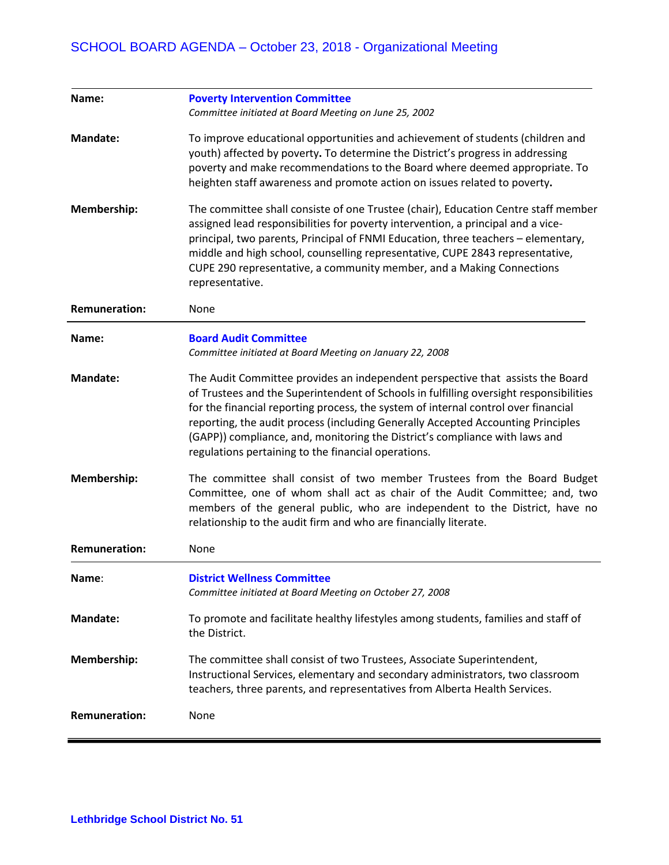| Name:                | <b>Poverty Intervention Committee</b><br>Committee initiated at Board Meeting on June 25, 2002                                                                                                                                                                                                                                                                                                                                                                                           |
|----------------------|------------------------------------------------------------------------------------------------------------------------------------------------------------------------------------------------------------------------------------------------------------------------------------------------------------------------------------------------------------------------------------------------------------------------------------------------------------------------------------------|
| <b>Mandate:</b>      | To improve educational opportunities and achievement of students (children and<br>youth) affected by poverty. To determine the District's progress in addressing<br>poverty and make recommendations to the Board where deemed appropriate. To<br>heighten staff awareness and promote action on issues related to poverty.                                                                                                                                                              |
| Membership:          | The committee shall consiste of one Trustee (chair), Education Centre staff member<br>assigned lead responsibilities for poverty intervention, a principal and a vice-<br>principal, two parents, Principal of FNMI Education, three teachers - elementary,<br>middle and high school, counselling representative, CUPE 2843 representative,<br>CUPE 290 representative, a community member, and a Making Connections<br>representative.                                                 |
| <b>Remuneration:</b> | None                                                                                                                                                                                                                                                                                                                                                                                                                                                                                     |
| Name:                | <b>Board Audit Committee</b><br>Committee initiated at Board Meeting on January 22, 2008                                                                                                                                                                                                                                                                                                                                                                                                 |
| <b>Mandate:</b>      | The Audit Committee provides an independent perspective that assists the Board<br>of Trustees and the Superintendent of Schools in fulfilling oversight responsibilities<br>for the financial reporting process, the system of internal control over financial<br>reporting, the audit process (including Generally Accepted Accounting Principles<br>(GAPP)) compliance, and, monitoring the District's compliance with laws and<br>regulations pertaining to the financial operations. |
| Membership:          | The committee shall consist of two member Trustees from the Board Budget<br>Committee, one of whom shall act as chair of the Audit Committee; and, two<br>members of the general public, who are independent to the District, have no<br>relationship to the audit firm and who are financially literate.                                                                                                                                                                                |
| <b>Remuneration:</b> | None                                                                                                                                                                                                                                                                                                                                                                                                                                                                                     |
| Name:                | <b>District Wellness Committee</b><br>Committee initiated at Board Meeting on October 27, 2008                                                                                                                                                                                                                                                                                                                                                                                           |
| <b>Mandate:</b>      | To promote and facilitate healthy lifestyles among students, families and staff of<br>the District.                                                                                                                                                                                                                                                                                                                                                                                      |
| Membership:          | The committee shall consist of two Trustees, Associate Superintendent,<br>Instructional Services, elementary and secondary administrators, two classroom<br>teachers, three parents, and representatives from Alberta Health Services.                                                                                                                                                                                                                                                   |
| <b>Remuneration:</b> | None                                                                                                                                                                                                                                                                                                                                                                                                                                                                                     |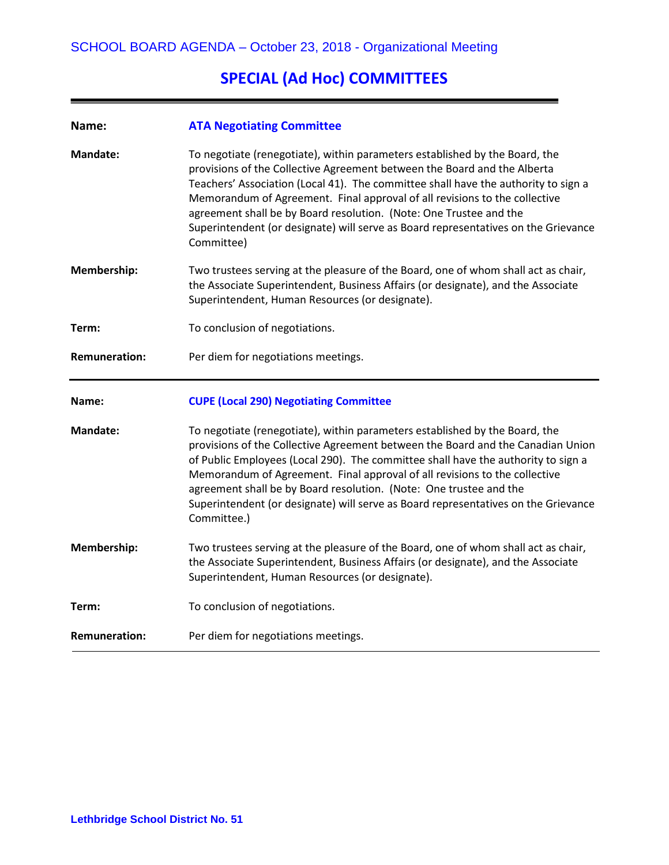# **SPECIAL (Ad Hoc) COMMITTEES**

| Name:                | <b>ATA Negotiating Committee</b>                                                                                                                                                                                                                                                                                                                                                                                                                                                                             |
|----------------------|--------------------------------------------------------------------------------------------------------------------------------------------------------------------------------------------------------------------------------------------------------------------------------------------------------------------------------------------------------------------------------------------------------------------------------------------------------------------------------------------------------------|
| <b>Mandate:</b>      | To negotiate (renegotiate), within parameters established by the Board, the<br>provisions of the Collective Agreement between the Board and the Alberta<br>Teachers' Association (Local 41). The committee shall have the authority to sign a<br>Memorandum of Agreement. Final approval of all revisions to the collective<br>agreement shall be by Board resolution. (Note: One Trustee and the<br>Superintendent (or designate) will serve as Board representatives on the Grievance<br>Committee)        |
| Membership:          | Two trustees serving at the pleasure of the Board, one of whom shall act as chair,<br>the Associate Superintendent, Business Affairs (or designate), and the Associate<br>Superintendent, Human Resources (or designate).                                                                                                                                                                                                                                                                                    |
| Term:                | To conclusion of negotiations.                                                                                                                                                                                                                                                                                                                                                                                                                                                                               |
| <b>Remuneration:</b> | Per diem for negotiations meetings.                                                                                                                                                                                                                                                                                                                                                                                                                                                                          |
|                      |                                                                                                                                                                                                                                                                                                                                                                                                                                                                                                              |
| Name:                | <b>CUPE (Local 290) Negotiating Committee</b>                                                                                                                                                                                                                                                                                                                                                                                                                                                                |
| <b>Mandate:</b>      | To negotiate (renegotiate), within parameters established by the Board, the<br>provisions of the Collective Agreement between the Board and the Canadian Union<br>of Public Employees (Local 290). The committee shall have the authority to sign a<br>Memorandum of Agreement. Final approval of all revisions to the collective<br>agreement shall be by Board resolution. (Note: One trustee and the<br>Superintendent (or designate) will serve as Board representatives on the Grievance<br>Committee.) |
| Membership:          | Two trustees serving at the pleasure of the Board, one of whom shall act as chair,<br>the Associate Superintendent, Business Affairs (or designate), and the Associate<br>Superintendent, Human Resources (or designate).                                                                                                                                                                                                                                                                                    |
| Term:                | To conclusion of negotiations.                                                                                                                                                                                                                                                                                                                                                                                                                                                                               |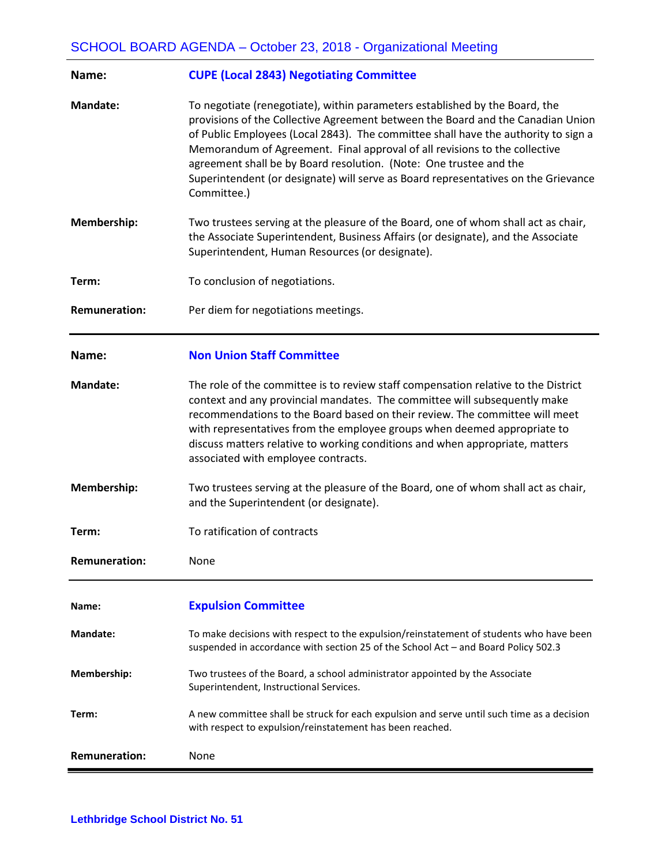| Name:                | <b>CUPE (Local 2843) Negotiating Committee</b>                                                                                                                                                                                                                                                                                                                                                                                                                                                                |
|----------------------|---------------------------------------------------------------------------------------------------------------------------------------------------------------------------------------------------------------------------------------------------------------------------------------------------------------------------------------------------------------------------------------------------------------------------------------------------------------------------------------------------------------|
| <b>Mandate:</b>      | To negotiate (renegotiate), within parameters established by the Board, the<br>provisions of the Collective Agreement between the Board and the Canadian Union<br>of Public Employees (Local 2843). The committee shall have the authority to sign a<br>Memorandum of Agreement. Final approval of all revisions to the collective<br>agreement shall be by Board resolution. (Note: One trustee and the<br>Superintendent (or designate) will serve as Board representatives on the Grievance<br>Committee.) |
| Membership:          | Two trustees serving at the pleasure of the Board, one of whom shall act as chair,<br>the Associate Superintendent, Business Affairs (or designate), and the Associate<br>Superintendent, Human Resources (or designate).                                                                                                                                                                                                                                                                                     |
| Term:                | To conclusion of negotiations.                                                                                                                                                                                                                                                                                                                                                                                                                                                                                |
| <b>Remuneration:</b> | Per diem for negotiations meetings.                                                                                                                                                                                                                                                                                                                                                                                                                                                                           |
| Name:                | <b>Non Union Staff Committee</b>                                                                                                                                                                                                                                                                                                                                                                                                                                                                              |
| <b>Mandate:</b>      | The role of the committee is to review staff compensation relative to the District<br>context and any provincial mandates. The committee will subsequently make<br>recommendations to the Board based on their review. The committee will meet<br>with representatives from the employee groups when deemed appropriate to<br>discuss matters relative to working conditions and when appropriate, matters<br>associated with employee contracts.                                                             |
| Membership:          | Two trustees serving at the pleasure of the Board, one of whom shall act as chair,<br>and the Superintendent (or designate).                                                                                                                                                                                                                                                                                                                                                                                  |
| Term:                | To ratification of contracts                                                                                                                                                                                                                                                                                                                                                                                                                                                                                  |
| <b>Remuneration:</b> | None                                                                                                                                                                                                                                                                                                                                                                                                                                                                                                          |
| Name:                | <b>Expulsion Committee</b>                                                                                                                                                                                                                                                                                                                                                                                                                                                                                    |
| <b>Mandate:</b>      | To make decisions with respect to the expulsion/reinstatement of students who have been<br>suspended in accordance with section 25 of the School Act - and Board Policy 502.3                                                                                                                                                                                                                                                                                                                                 |
| Membership:          | Two trustees of the Board, a school administrator appointed by the Associate<br>Superintendent, Instructional Services.                                                                                                                                                                                                                                                                                                                                                                                       |
| Term:                | A new committee shall be struck for each expulsion and serve until such time as a decision<br>with respect to expulsion/reinstatement has been reached.                                                                                                                                                                                                                                                                                                                                                       |
| <b>Remuneration:</b> | None                                                                                                                                                                                                                                                                                                                                                                                                                                                                                                          |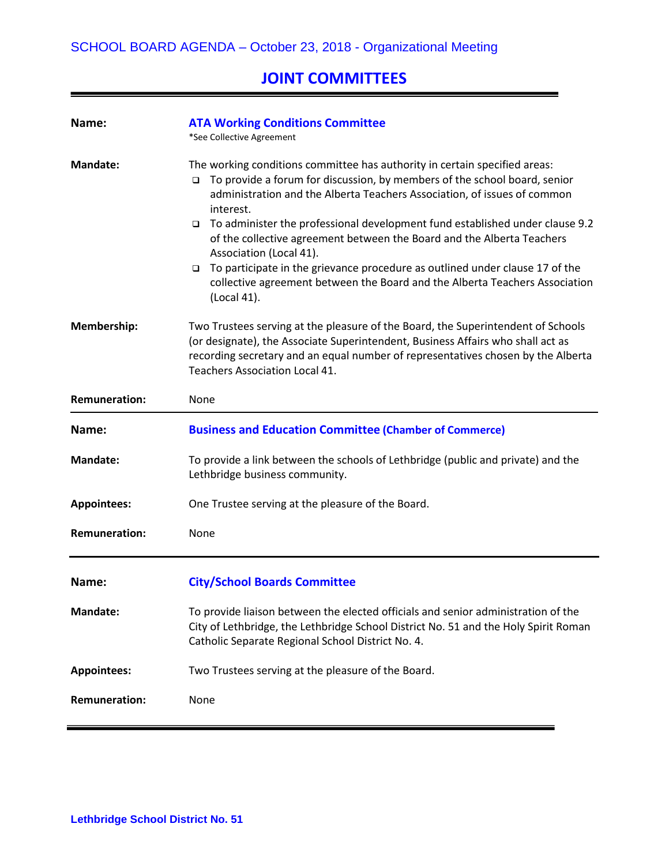# **JOINT COMMITTEES**

| Name:                | <b>ATA Working Conditions Committee</b><br>*See Collective Agreement                                                                                                                                                                                                                                                                                                                                                                                                                                                                                                                                                                              |
|----------------------|---------------------------------------------------------------------------------------------------------------------------------------------------------------------------------------------------------------------------------------------------------------------------------------------------------------------------------------------------------------------------------------------------------------------------------------------------------------------------------------------------------------------------------------------------------------------------------------------------------------------------------------------------|
| <b>Mandate:</b>      | The working conditions committee has authority in certain specified areas:<br>To provide a forum for discussion, by members of the school board, senior<br>$\Box$<br>administration and the Alberta Teachers Association, of issues of common<br>interest.<br>To administer the professional development fund established under clause 9.2<br>$\Box$<br>of the collective agreement between the Board and the Alberta Teachers<br>Association (Local 41).<br>To participate in the grievance procedure as outlined under clause 17 of the<br>$\Box$<br>collective agreement between the Board and the Alberta Teachers Association<br>(Local 41). |
| Membership:          | Two Trustees serving at the pleasure of the Board, the Superintendent of Schools<br>(or designate), the Associate Superintendent, Business Affairs who shall act as<br>recording secretary and an equal number of representatives chosen by the Alberta<br><b>Teachers Association Local 41.</b>                                                                                                                                                                                                                                                                                                                                                  |
| <b>Remuneration:</b> | None                                                                                                                                                                                                                                                                                                                                                                                                                                                                                                                                                                                                                                              |
| Name:                | <b>Business and Education Committee (Chamber of Commerce)</b>                                                                                                                                                                                                                                                                                                                                                                                                                                                                                                                                                                                     |
|                      |                                                                                                                                                                                                                                                                                                                                                                                                                                                                                                                                                                                                                                                   |
| <b>Mandate:</b>      | To provide a link between the schools of Lethbridge (public and private) and the<br>Lethbridge business community.                                                                                                                                                                                                                                                                                                                                                                                                                                                                                                                                |
| <b>Appointees:</b>   | One Trustee serving at the pleasure of the Board.                                                                                                                                                                                                                                                                                                                                                                                                                                                                                                                                                                                                 |
| <b>Remuneration:</b> | None                                                                                                                                                                                                                                                                                                                                                                                                                                                                                                                                                                                                                                              |
| Name:                | <b>City/School Boards Committee</b>                                                                                                                                                                                                                                                                                                                                                                                                                                                                                                                                                                                                               |
| <b>Mandate:</b>      | To provide liaison between the elected officials and senior administration of the<br>City of Lethbridge, the Lethbridge School District No. 51 and the Holy Spirit Roman<br>Catholic Separate Regional School District No. 4.                                                                                                                                                                                                                                                                                                                                                                                                                     |
| <b>Appointees:</b>   | Two Trustees serving at the pleasure of the Board.                                                                                                                                                                                                                                                                                                                                                                                                                                                                                                                                                                                                |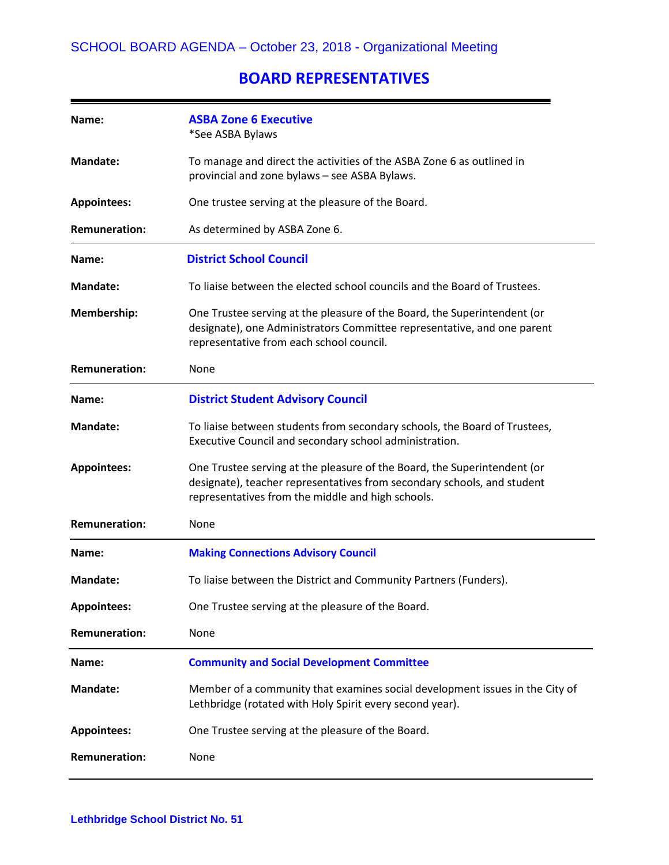### **BOARD REPRESENTATIVES**

| Name:                | <b>ASBA Zone 6 Executive</b><br>*See ASBA Bylaws                                                                                                                                                         |
|----------------------|----------------------------------------------------------------------------------------------------------------------------------------------------------------------------------------------------------|
| <b>Mandate:</b>      | To manage and direct the activities of the ASBA Zone 6 as outlined in<br>provincial and zone bylaws - see ASBA Bylaws.                                                                                   |
| <b>Appointees:</b>   | One trustee serving at the pleasure of the Board.                                                                                                                                                        |
| <b>Remuneration:</b> | As determined by ASBA Zone 6.                                                                                                                                                                            |
| Name:                | <b>District School Council</b>                                                                                                                                                                           |
| <b>Mandate:</b>      | To liaise between the elected school councils and the Board of Trustees.                                                                                                                                 |
| <b>Membership:</b>   | One Trustee serving at the pleasure of the Board, the Superintendent (or<br>designate), one Administrators Committee representative, and one parent<br>representative from each school council.          |
| <b>Remuneration:</b> | None                                                                                                                                                                                                     |
| Name:                | <b>District Student Advisory Council</b>                                                                                                                                                                 |
| <b>Mandate:</b>      | To liaise between students from secondary schools, the Board of Trustees,<br>Executive Council and secondary school administration.                                                                      |
| <b>Appointees:</b>   | One Trustee serving at the pleasure of the Board, the Superintendent (or<br>designate), teacher representatives from secondary schools, and student<br>representatives from the middle and high schools. |
| <b>Remuneration:</b> | None                                                                                                                                                                                                     |
| Name:                | <b>Making Connections Advisory Council</b>                                                                                                                                                               |
| <b>Mandate:</b>      | To liaise between the District and Community Partners (Funders).                                                                                                                                         |
| <b>Appointees:</b>   | One Trustee serving at the pleasure of the Board.                                                                                                                                                        |
| <b>Remuneration:</b> | None                                                                                                                                                                                                     |
| Name:                | <b>Community and Social Development Committee</b>                                                                                                                                                        |
| <b>Mandate:</b>      | Member of a community that examines social development issues in the City of<br>Lethbridge (rotated with Holy Spirit every second year).                                                                 |
| <b>Appointees:</b>   | One Trustee serving at the pleasure of the Board.                                                                                                                                                        |
| <b>Remuneration:</b> | None                                                                                                                                                                                                     |